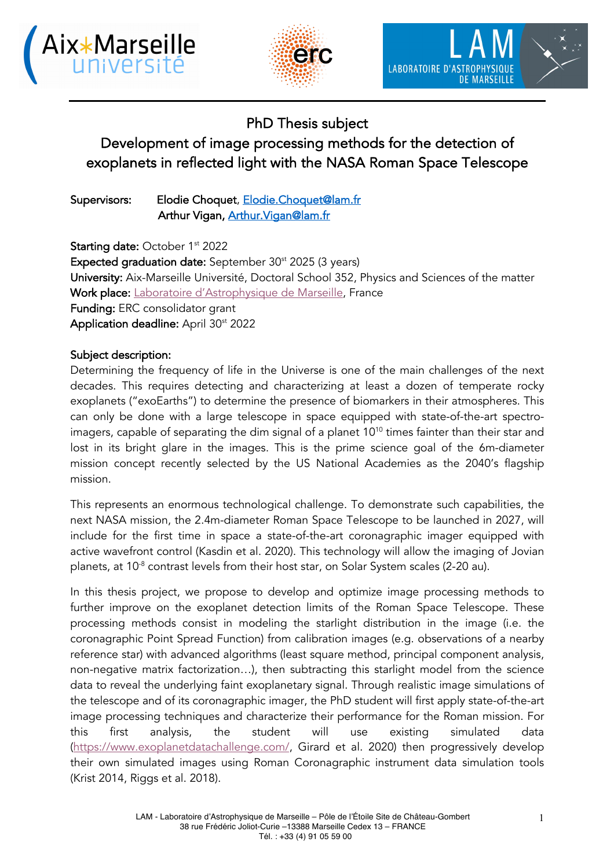





## PhD Thesis subject

# Development of image processing methods for the detection of exoplanets in reflected light with the NASA Roman Space Telescope

Supervisors: Elodie Choquet, Elodie.Choquet@lam.fr Arthur Vigan, Arthur. Vigan@lam.fr

Starting date: October 1<sup>st</sup> 2022 Expected graduation date: September 30<sup>st</sup> 2025 (3 years) University: Aix-Marseille Université, Doctoral School 352, Physics and Sciences of the matter Work place: Laboratoire d'Astrophysique de Marseille, France Funding: ERC consolidator grant Application deadline: April 30<sup>st</sup> 2022

### Subject description:

Determining the frequency of life in the Universe is one of the main challenges of the next decades. This requires detecting and characterizing at least a dozen of temperate rocky exoplanets ("exoEarths") to determine the presence of biomarkers in their atmospheres. This can only be done with a large telescope in space equipped with state-of-the-art spectroimagers, capable of separating the dim signal of a planet 10<sup>10</sup> times fainter than their star and lost in its bright glare in the images. This is the prime science goal of the 6m-diameter mission concept recently selected by the US National Academies as the 2040's flagship mission.

This represents an enormous technological challenge. To demonstrate such capabilities, the next NASA mission, the 2.4m-diameter Roman Space Telescope to be launched in 2027, will include for the first time in space a state-of-the-art coronagraphic imager equipped with active wavefront control (Kasdin et al. 2020). This technology will allow the imaging of Jovian planets, at  $10^{-8}$  contrast levels from their host star, on Solar System scales (2-20 au).

In this thesis project, we propose to develop and optimize image processing methods to further improve on the exoplanet detection limits of the Roman Space Telescope. These processing methods consist in modeling the starlight distribution in the image (i.e. the coronagraphic Point Spread Function) from calibration images (e.g. observations of a nearby reference star) with advanced algorithms (least square method, principal component analysis, non-negative matrix factorization…), then subtracting this starlight model from the science data to reveal the underlying faint exoplanetary signal. Through realistic image simulations of the telescope and of its coronagraphic imager, the PhD student will first apply state-of-the-art image processing techniques and characterize their performance for the Roman mission. For this first analysis, the student will use existing simulated data (https://www.exoplanetdatachallenge.com/, Girard et al. 2020) then progressively develop their own simulated images using Roman Coronagraphic instrument data simulation tools (Krist 2014, Riggs et al. 2018).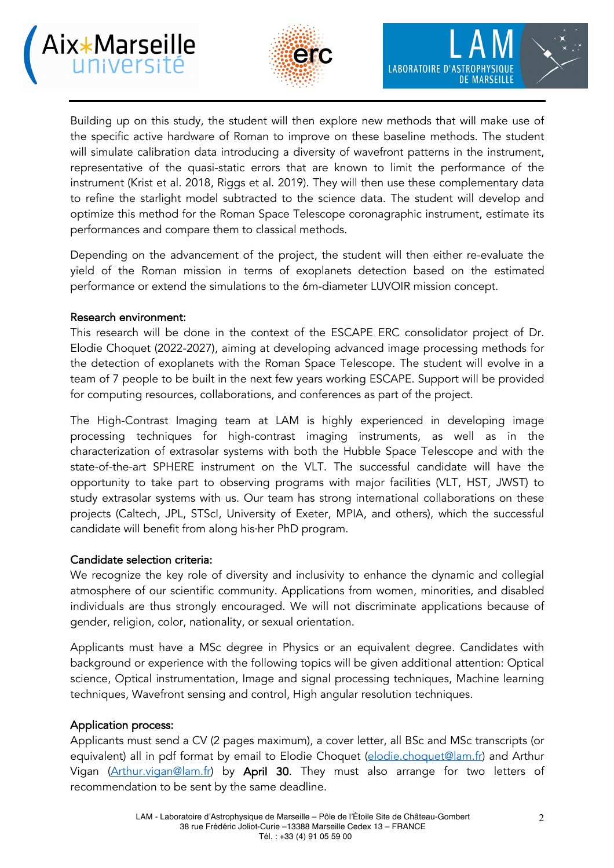



Building up on this study, the student will then explore new methods that will make use of the specific active hardware of Roman to improve on these baseline methods. The student will simulate calibration data introducing a diversity of wavefront patterns in the instrument, representative of the quasi-static errors that are known to limit the performance of the instrument (Krist et al. 2018, Riggs et al. 2019). They will then use these complementary data to refine the starlight model subtracted to the science data. The student will develop and optimize this method for the Roman Space Telescope coronagraphic instrument, estimate its performances and compare them to classical methods.

Depending on the advancement of the project, the student will then either re-evaluate the yield of the Roman mission in terms of exoplanets detection based on the estimated performance or extend the simulations to the 6m-diameter LUVOIR mission concept.

#### Research environment:

This research will be done in the context of the ESCAPE ERC consolidator project of Dr. Elodie Choquet (2022-2027), aiming at developing advanced image processing methods for the detection of exoplanets with the Roman Space Telescope. The student will evolve in a team of 7 people to be built in the next few years working ESCAPE. Support will be provided for computing resources, collaborations, and conferences as part of the project.

The High-Contrast Imaging team at LAM is highly experienced in developing image processing techniques for high-contrast imaging instruments, as well as in the characterization of extrasolar systems with both the Hubble Space Telescope and with the state-of-the-art SPHERE instrument on the VLT. The successful candidate will have the opportunity to take part to observing programs with major facilities (VLT, HST, JWST) to study extrasolar systems with us. Our team has strong international collaborations on these projects (Caltech, JPL, STScI, University of Exeter, MPIA, and others), which the successful candidate will benefit from along his·her PhD program.

#### Candidate selection criteria:

We recognize the key role of diversity and inclusivity to enhance the dynamic and collegial atmosphere of our scientific community. Applications from women, minorities, and disabled individuals are thus strongly encouraged. We will not discriminate applications because of gender, religion, color, nationality, or sexual orientation.

Applicants must have a MSc degree in Physics or an equivalent degree. Candidates with background or experience with the following topics will be given additional attention: Optical science, Optical instrumentation, Image and signal processing techniques, Machine learning techniques, Wavefront sensing and control, High angular resolution techniques.

#### Application process:

Applicants must send a CV (2 pages maximum), a cover letter, all BSc and MSc transcripts (or equivalent) all in pdf format by email to Elodie Choquet (elodie.choquet@lam.fr) and Arthur Vigan (Arthur.vigan@lam.fr) by April 30. They must also arrange for two letters of recommendation to be sent by the same deadline.